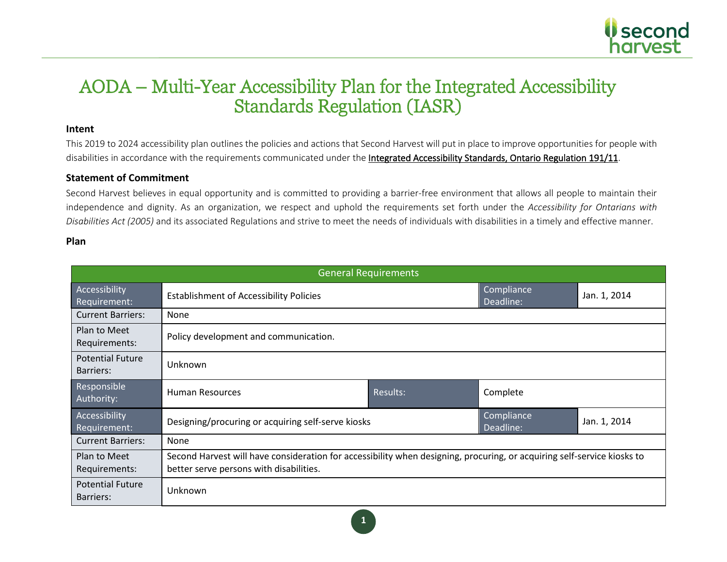

**Intent**<br>This 2019 to 2024 accessibility plan outlines the policies and actions that Second Harvest will put in place to improve opportunities for people with disabilities in accordance with the requirements communicated under the Integrated Accessibility Standards, Ontario Regulation 191/11.

#### **Statement of Commitment**

Second Harvest believes in equal opportunity and is committed to providing a barrier-free environment that allows all people to maintain their independence and dignity. As an organization, we respect and uphold the requirements set forth under the *Accessibility for Ontarians with Disabilities Act (2005)* and its associated Regulations and strive to meet the needs of individuals with disabilities in a timely and effective manner.

#### **Plan**

| <b>General Requirements</b>          |                                                                                                                                                                    |          |                         |              |
|--------------------------------------|--------------------------------------------------------------------------------------------------------------------------------------------------------------------|----------|-------------------------|--------------|
| Accessibility<br>Requirement:        | <b>Establishment of Accessibility Policies</b>                                                                                                                     |          | Compliance<br>Deadline: | Jan. 1, 2014 |
| <b>Current Barriers:</b>             | None                                                                                                                                                               |          |                         |              |
| Plan to Meet<br>Requirements:        | Policy development and communication.                                                                                                                              |          |                         |              |
| <b>Potential Future</b><br>Barriers: | Unknown                                                                                                                                                            |          |                         |              |
| Responsible<br>Authority:            | <b>Human Resources</b>                                                                                                                                             | Results: | Complete                |              |
| Accessibility<br>Requirement:        | Designing/procuring or acquiring self-serve kiosks                                                                                                                 |          | Compliance<br>Deadline: | Jan. 1, 2014 |
| <b>Current Barriers:</b>             | None                                                                                                                                                               |          |                         |              |
| Plan to Meet<br>Requirements:        | Second Harvest will have consideration for accessibility when designing, procuring, or acquiring self-service kiosks to<br>better serve persons with disabilities. |          |                         |              |
| <b>Potential Future</b><br>Barriers: | Unknown                                                                                                                                                            |          |                         |              |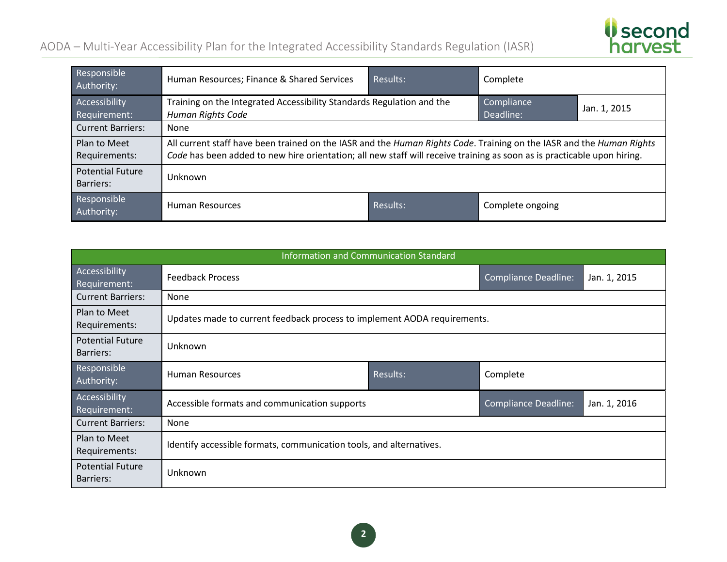

| Responsible<br>Authority:            | Human Resources; Finance & Shared Services                                                                                                                                                                                                      | Results: | Complete                |              |
|--------------------------------------|-------------------------------------------------------------------------------------------------------------------------------------------------------------------------------------------------------------------------------------------------|----------|-------------------------|--------------|
| Accessibility<br>Requirement:        | Training on the Integrated Accessibility Standards Regulation and the<br>Human Rights Code                                                                                                                                                      |          | Compliance<br>Deadline: | Jan. 1, 2015 |
| <b>Current Barriers:</b>             | None                                                                                                                                                                                                                                            |          |                         |              |
| Plan to Meet<br>Requirements:        | All current staff have been trained on the IASR and the Human Rights Code. Training on the IASR and the Human Rights<br>Code has been added to new hire orientation; all new staff will receive training as soon as is practicable upon hiring. |          |                         |              |
| <b>Potential Future</b><br>Barriers: | Unknown                                                                                                                                                                                                                                         |          |                         |              |
| Responsible<br>Authority:            | <b>Human Resources</b>                                                                                                                                                                                                                          | Results: | Complete ongoing        |              |

|                                      | Information and Communication Standard                                       |          |                             |              |  |  |
|--------------------------------------|------------------------------------------------------------------------------|----------|-----------------------------|--------------|--|--|
| Accessibility<br>Requirement:        | <b>Feedback Process</b>                                                      |          | <b>Compliance Deadline:</b> | Jan. 1, 2015 |  |  |
| <b>Current Barriers:</b>             | None                                                                         |          |                             |              |  |  |
| Plan to Meet<br>Requirements:        | Updates made to current feedback process to implement AODA requirements.     |          |                             |              |  |  |
| <b>Potential Future</b><br>Barriers: | Unknown                                                                      |          |                             |              |  |  |
| Responsible<br>Authority:            | Human Resources                                                              | Results: | Complete                    |              |  |  |
| Accessibility<br>Requirement:        | Accessible formats and communication supports<br><b>Compliance Deadline:</b> |          | Jan. 1, 2016                |              |  |  |
| <b>Current Barriers:</b>             | None                                                                         |          |                             |              |  |  |
| Plan to Meet<br>Requirements:        | Identify accessible formats, communication tools, and alternatives.          |          |                             |              |  |  |
| <b>Potential Future</b><br>Barriers: | Unknown                                                                      |          |                             |              |  |  |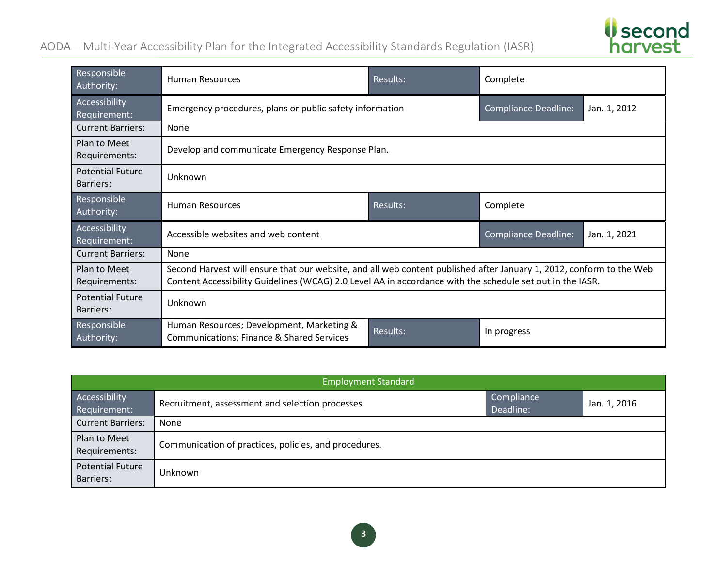

| Responsible<br>Authority:            | Human Resources                                                                                                                                                                                                                   | Results:        | Complete                    |              |
|--------------------------------------|-----------------------------------------------------------------------------------------------------------------------------------------------------------------------------------------------------------------------------------|-----------------|-----------------------------|--------------|
| Accessibility<br>Requirement:        | Emergency procedures, plans or public safety information                                                                                                                                                                          |                 | <b>Compliance Deadline:</b> | Jan. 1, 2012 |
| <b>Current Barriers:</b>             | None                                                                                                                                                                                                                              |                 |                             |              |
| Plan to Meet<br>Requirements:        | Develop and communicate Emergency Response Plan.                                                                                                                                                                                  |                 |                             |              |
| <b>Potential Future</b><br>Barriers: | Unknown                                                                                                                                                                                                                           |                 |                             |              |
| Responsible<br>Authority:            | <b>Human Resources</b>                                                                                                                                                                                                            | Results:        | Complete                    |              |
| Accessibility<br>Requirement:        | Accessible websites and web content                                                                                                                                                                                               |                 | <b>Compliance Deadline:</b> | Jan. 1, 2021 |
| <b>Current Barriers:</b>             | None                                                                                                                                                                                                                              |                 |                             |              |
| Plan to Meet<br>Requirements:        | Second Harvest will ensure that our website, and all web content published after January 1, 2012, conform to the Web<br>Content Accessibility Guidelines (WCAG) 2.0 Level AA in accordance with the schedule set out in the IASR. |                 |                             |              |
| <b>Potential Future</b><br>Barriers: | Unknown                                                                                                                                                                                                                           |                 |                             |              |
| Responsible<br>Authority:            | Human Resources; Development, Marketing &<br>Communications; Finance & Shared Services                                                                                                                                            | <b>Results:</b> | In progress                 |              |

|                                      | <b>Employment Standard</b>                            |                         |              |  |
|--------------------------------------|-------------------------------------------------------|-------------------------|--------------|--|
| Accessibility<br>Requirement:        | Recruitment, assessment and selection processes       | Compliance<br>Deadline: | Jan. 1, 2016 |  |
| <b>Current Barriers:</b>             | None                                                  |                         |              |  |
| Plan to Meet<br>Requirements:        | Communication of practices, policies, and procedures. |                         |              |  |
| <b>Potential Future</b><br>Barriers: | Unknown                                               |                         |              |  |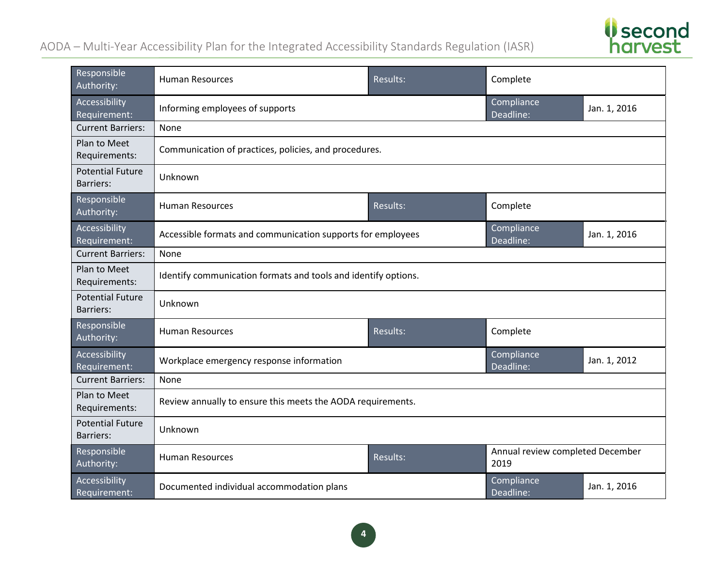*Second*<br>harvest

| Responsible<br>Authority:                   | <b>Human Resources</b>                                         | <b>Results:</b> | Complete                                 |              |
|---------------------------------------------|----------------------------------------------------------------|-----------------|------------------------------------------|--------------|
| Accessibility<br>Requirement:               | Informing employees of supports                                |                 | Compliance<br>Deadline:                  | Jan. 1, 2016 |
| <b>Current Barriers:</b>                    | None                                                           |                 |                                          |              |
| Plan to Meet<br>Requirements:               | Communication of practices, policies, and procedures.          |                 |                                          |              |
| <b>Potential Future</b><br>Barriers:        | Unknown                                                        |                 |                                          |              |
| Responsible<br>Authority:                   | <b>Human Resources</b>                                         | <b>Results:</b> | Complete                                 |              |
| Accessibility<br>Requirement:               | Accessible formats and communication supports for employees    |                 | Compliance<br>Deadline:                  | Jan. 1, 2016 |
| <b>Current Barriers:</b>                    | None                                                           |                 |                                          |              |
| Plan to Meet<br>Requirements:               | Identify communication formats and tools and identify options. |                 |                                          |              |
| <b>Potential Future</b><br><b>Barriers:</b> | Unknown                                                        |                 |                                          |              |
| Responsible<br>Authority:                   | <b>Human Resources</b>                                         | <b>Results:</b> | Complete                                 |              |
| Accessibility<br>Requirement:               | Workplace emergency response information                       |                 | Compliance<br>Deadline:                  | Jan. 1, 2012 |
| <b>Current Barriers:</b>                    | None                                                           |                 |                                          |              |
| Plan to Meet<br>Requirements:               | Review annually to ensure this meets the AODA requirements.    |                 |                                          |              |
| <b>Potential Future</b><br><b>Barriers:</b> | Unknown                                                        |                 |                                          |              |
| Responsible<br>Authority:                   | <b>Human Resources</b>                                         | Results:        | Annual review completed December<br>2019 |              |
| Accessibility<br>Requirement:               | Documented individual accommodation plans                      |                 | Compliance<br>Deadline:                  | Jan. 1, 2016 |

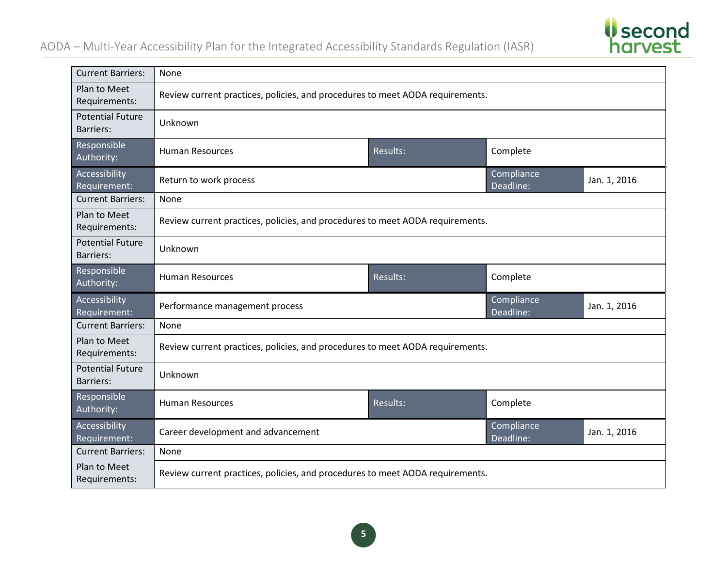

| <b>Current Barriers:</b>                    | None                                                                          |                 |                         |              |
|---------------------------------------------|-------------------------------------------------------------------------------|-----------------|-------------------------|--------------|
| Plan to Meet<br>Requirements:               | Review current practices, policies, and procedures to meet AODA requirements. |                 |                         |              |
| <b>Potential Future</b><br><b>Barriers:</b> | Unknown                                                                       |                 |                         |              |
| Responsible<br>Authority:                   | <b>Human Resources</b>                                                        | Results:        | Complete                |              |
| Accessibility<br>Requirement:               | Return to work process                                                        |                 | Compliance<br>Deadline: | Jan. 1, 2016 |
| <b>Current Barriers:</b>                    | None                                                                          |                 |                         |              |
| Plan to Meet<br>Requirements:               | Review current practices, policies, and procedures to meet AODA requirements. |                 |                         |              |
| <b>Potential Future</b><br><b>Barriers:</b> | Unknown                                                                       |                 |                         |              |
| Responsible<br>Authority:                   | <b>Human Resources</b>                                                        | Results:        | Complete                |              |
| Accessibility<br>Requirement:               | Performance management process                                                |                 | Compliance<br>Deadline: | Jan. 1, 2016 |
| <b>Current Barriers:</b>                    | None                                                                          |                 |                         |              |
| Plan to Meet<br>Requirements:               | Review current practices, policies, and procedures to meet AODA requirements. |                 |                         |              |
| <b>Potential Future</b><br><b>Barriers:</b> | Unknown                                                                       |                 |                         |              |
| Responsible<br>Authority:                   | <b>Human Resources</b>                                                        | <b>Results:</b> | Complete                |              |
| Accessibility<br>Requirement:               | Career development and advancement                                            |                 | Compliance<br>Deadline: | Jan. 1, 2016 |
| <b>Current Barriers:</b>                    | None                                                                          |                 |                         |              |
| Plan to Meet<br>Requirements:               | Review current practices, policies, and procedures to meet AODA requirements. |                 |                         |              |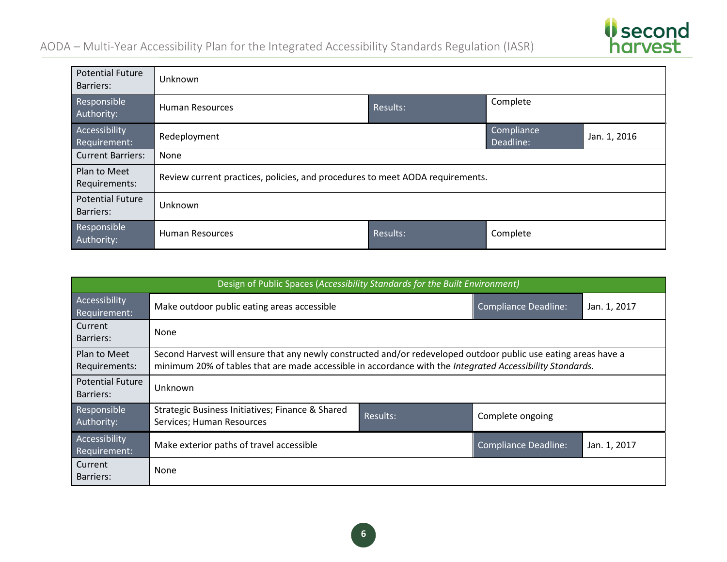

| <b>Potential Future</b><br>Barriers: | Unknown                                                                       |          |                         |              |
|--------------------------------------|-------------------------------------------------------------------------------|----------|-------------------------|--------------|
| Responsible<br>Authority:            | <b>Human Resources</b>                                                        | Results: | Complete                |              |
| Accessibility<br>Requirement:        | Redeployment                                                                  |          | Compliance<br>Deadline: | Jan. 1, 2016 |
| <b>Current Barriers:</b>             | None                                                                          |          |                         |              |
| Plan to Meet<br>Requirements:        | Review current practices, policies, and procedures to meet AODA requirements. |          |                         |              |
| <b>Potential Future</b><br>Barriers: | Unknown                                                                       |          |                         |              |
| Responsible<br>Authority:            | <b>Human Resources</b>                                                        | Results: | Complete                |              |

|                                      | Design of Public Spaces (Accessibility Standards for the Built Environment)                                                                                                                                                  |          |                             |              |  |
|--------------------------------------|------------------------------------------------------------------------------------------------------------------------------------------------------------------------------------------------------------------------------|----------|-----------------------------|--------------|--|
| Accessibility<br>Requirement:        | Make outdoor public eating areas accessible                                                                                                                                                                                  |          | <b>Compliance Deadline:</b> | Jan. 1, 2017 |  |
| Current<br><b>Barriers:</b>          | None                                                                                                                                                                                                                         |          |                             |              |  |
| Plan to Meet<br>Requirements:        | Second Harvest will ensure that any newly constructed and/or redeveloped outdoor public use eating areas have a<br>minimum 20% of tables that are made accessible in accordance with the Integrated Accessibility Standards. |          |                             |              |  |
| <b>Potential Future</b><br>Barriers: | Unknown                                                                                                                                                                                                                      |          |                             |              |  |
| Responsible<br>Authority:            | Strategic Business Initiatives; Finance & Shared<br>Services; Human Resources                                                                                                                                                | Results: | Complete ongoing            |              |  |
| Accessibility<br>Requirement:        | Make exterior paths of travel accessible                                                                                                                                                                                     |          | <b>Compliance Deadline:</b> | Jan. 1, 2017 |  |
| Current<br><b>Barriers:</b>          | None                                                                                                                                                                                                                         |          |                             |              |  |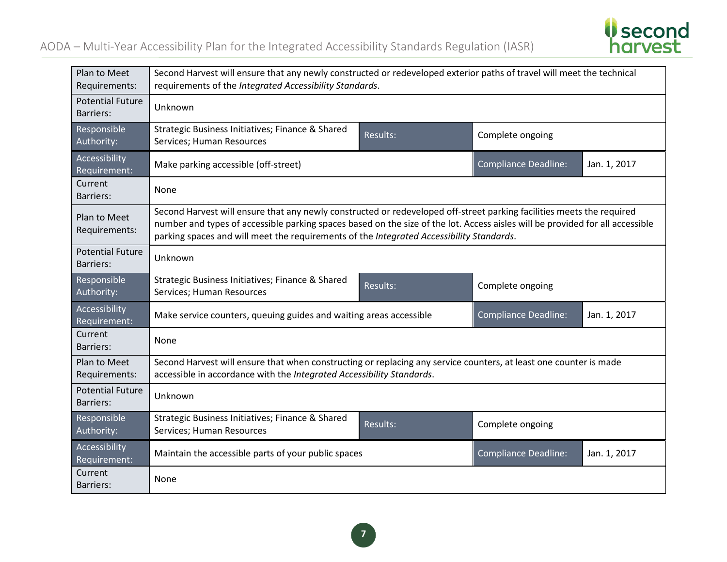

| Plan to Meet<br>Requirements:               | Second Harvest will ensure that any newly constructed or redeveloped exterior paths of travel will meet the technical<br>requirements of the Integrated Accessibility Standards.                                                                                                                                                                   |                 |                             |              |
|---------------------------------------------|----------------------------------------------------------------------------------------------------------------------------------------------------------------------------------------------------------------------------------------------------------------------------------------------------------------------------------------------------|-----------------|-----------------------------|--------------|
| <b>Potential Future</b><br><b>Barriers:</b> | Unknown                                                                                                                                                                                                                                                                                                                                            |                 |                             |              |
| Responsible<br>Authority:                   | Strategic Business Initiatives; Finance & Shared<br>Services; Human Resources                                                                                                                                                                                                                                                                      | <b>Results:</b> | Complete ongoing            |              |
| Accessibility<br>Requirement:               | Make parking accessible (off-street)                                                                                                                                                                                                                                                                                                               |                 | <b>Compliance Deadline:</b> | Jan. 1, 2017 |
| Current<br>Barriers:                        | None                                                                                                                                                                                                                                                                                                                                               |                 |                             |              |
| Plan to Meet<br>Requirements:               | Second Harvest will ensure that any newly constructed or redeveloped off-street parking facilities meets the required<br>number and types of accessible parking spaces based on the size of the lot. Access aisles will be provided for all accessible<br>parking spaces and will meet the requirements of the Integrated Accessibility Standards. |                 |                             |              |
| <b>Potential Future</b><br><b>Barriers:</b> | Unknown                                                                                                                                                                                                                                                                                                                                            |                 |                             |              |
| Responsible<br>Authority:                   | Strategic Business Initiatives; Finance & Shared<br>Services; Human Resources                                                                                                                                                                                                                                                                      | Results:        | Complete ongoing            |              |
| Accessibility<br>Requirement:               | Make service counters, queuing guides and waiting areas accessible                                                                                                                                                                                                                                                                                 |                 | <b>Compliance Deadline:</b> | Jan. 1, 2017 |
| Current<br><b>Barriers:</b>                 | None                                                                                                                                                                                                                                                                                                                                               |                 |                             |              |
| Plan to Meet<br>Requirements:               | Second Harvest will ensure that when constructing or replacing any service counters, at least one counter is made<br>accessible in accordance with the Integrated Accessibility Standards.                                                                                                                                                         |                 |                             |              |
| <b>Potential Future</b><br><b>Barriers:</b> | Unknown                                                                                                                                                                                                                                                                                                                                            |                 |                             |              |
| Responsible<br>Authority:                   | Strategic Business Initiatives; Finance & Shared<br>Services; Human Resources                                                                                                                                                                                                                                                                      | Results:        | Complete ongoing            |              |
| Accessibility<br>Requirement:               | Maintain the accessible parts of your public spaces                                                                                                                                                                                                                                                                                                |                 | <b>Compliance Deadline:</b> | Jan. 1, 2017 |
| Current<br><b>Barriers:</b>                 | None                                                                                                                                                                                                                                                                                                                                               |                 |                             |              |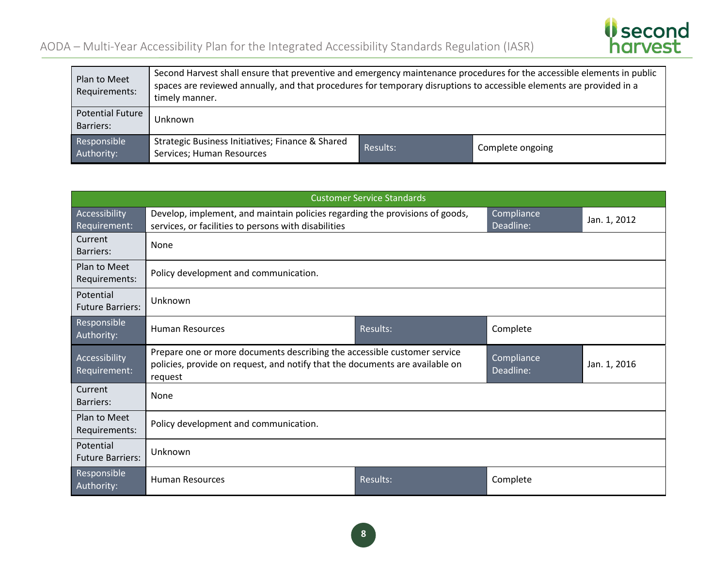

| Plan to Meet<br>Requirements:        | Second Harvest shall ensure that preventive and emergency maintenance procedures for the accessible elements in public<br>spaces are reviewed annually, and that procedures for temporary disruptions to accessible elements are provided in a<br>timely manner. |          |                  |
|--------------------------------------|------------------------------------------------------------------------------------------------------------------------------------------------------------------------------------------------------------------------------------------------------------------|----------|------------------|
| <b>Potential Future</b><br>Barriers: | Unknown                                                                                                                                                                                                                                                          |          |                  |
| Responsible<br>Authority:            | Strategic Business Initiatives; Finance & Shared<br>Services; Human Resources                                                                                                                                                                                    | Results: | Complete ongoing |

|                                      | <b>Customer Service Standards</b>                                                                                                                                                              |                         |              |              |  |
|--------------------------------------|------------------------------------------------------------------------------------------------------------------------------------------------------------------------------------------------|-------------------------|--------------|--------------|--|
| Accessibility<br>Requirement:        | Develop, implement, and maintain policies regarding the provisions of goods,<br>services, or facilities to persons with disabilities                                                           | Compliance<br>Deadline: | Jan. 1, 2012 |              |  |
| Current<br><b>Barriers:</b>          | None                                                                                                                                                                                           |                         |              |              |  |
| Plan to Meet<br>Requirements:        | Policy development and communication.                                                                                                                                                          |                         |              |              |  |
| Potential<br><b>Future Barriers:</b> | Unknown                                                                                                                                                                                        |                         |              |              |  |
| Responsible<br>Authority:            | Results:<br><b>Human Resources</b><br>Complete                                                                                                                                                 |                         |              |              |  |
| Accessibility<br>Requirement:        | Prepare one or more documents describing the accessible customer service<br>Compliance<br>policies, provide on request, and notify that the documents are available on<br>Deadline:<br>request |                         |              | Jan. 1, 2016 |  |
| Current<br><b>Barriers:</b>          | None                                                                                                                                                                                           |                         |              |              |  |
| Plan to Meet<br>Requirements:        | Policy development and communication.                                                                                                                                                          |                         |              |              |  |
| Potential<br><b>Future Barriers:</b> | Unknown                                                                                                                                                                                        |                         |              |              |  |
| Responsible<br>Authority:            | <b>Human Resources</b>                                                                                                                                                                         | Results:                | Complete     |              |  |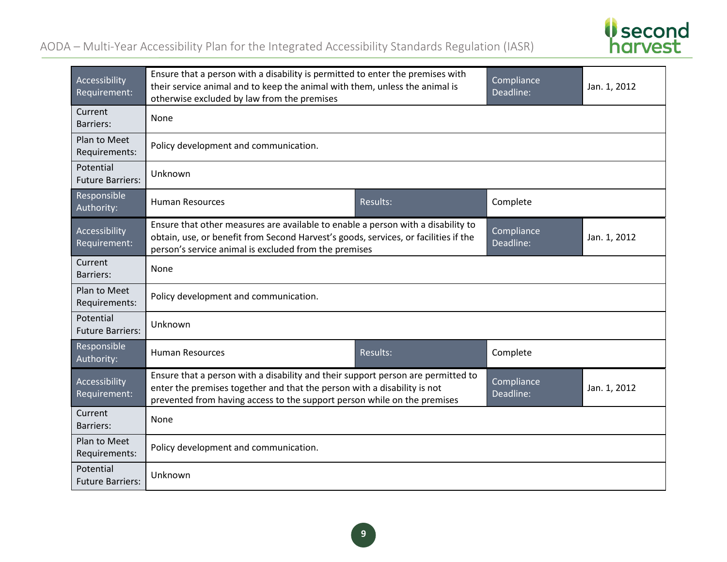

| Accessibility<br>Requirement:        | Ensure that a person with a disability is permitted to enter the premises with<br>their service animal and to keep the animal with them, unless the animal is<br>otherwise excluded by law from the premises                             |          | Compliance<br>Deadline: | Jan. 1, 2012 |
|--------------------------------------|------------------------------------------------------------------------------------------------------------------------------------------------------------------------------------------------------------------------------------------|----------|-------------------------|--------------|
| Current<br>Barriers:                 | None                                                                                                                                                                                                                                     |          |                         |              |
| Plan to Meet<br>Requirements:        | Policy development and communication.                                                                                                                                                                                                    |          |                         |              |
| Potential<br><b>Future Barriers:</b> | Unknown                                                                                                                                                                                                                                  |          |                         |              |
| Responsible<br>Authority:            | <b>Human Resources</b>                                                                                                                                                                                                                   | Results: | Complete                |              |
| Accessibility<br>Requirement:        | Ensure that other measures are available to enable a person with a disability to<br>obtain, use, or benefit from Second Harvest's goods, services, or facilities if the<br>person's service animal is excluded from the premises         |          | Compliance<br>Deadline: | Jan. 1, 2012 |
| Current<br><b>Barriers:</b>          | None                                                                                                                                                                                                                                     |          |                         |              |
| Plan to Meet<br>Requirements:        | Policy development and communication.                                                                                                                                                                                                    |          |                         |              |
| Potential<br><b>Future Barriers:</b> | Unknown                                                                                                                                                                                                                                  |          |                         |              |
| Responsible<br>Authority:            | <b>Human Resources</b>                                                                                                                                                                                                                   | Results: | Complete                |              |
| Accessibility<br>Requirement:        | Ensure that a person with a disability and their support person are permitted to<br>enter the premises together and that the person with a disability is not<br>prevented from having access to the support person while on the premises |          | Compliance<br>Deadline: | Jan. 1, 2012 |
| Current<br><b>Barriers:</b>          | None                                                                                                                                                                                                                                     |          |                         |              |
| Plan to Meet<br>Requirements:        | Policy development and communication.                                                                                                                                                                                                    |          |                         |              |
| Potential<br><b>Future Barriers:</b> | Unknown                                                                                                                                                                                                                                  |          |                         |              |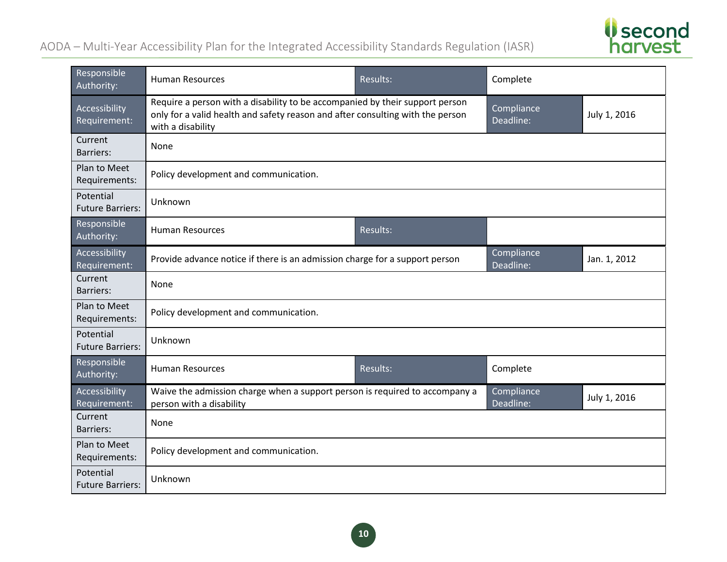*Second*<br>harvest

| Responsible<br>Authority:            | <b>Human Resources</b>                                                                                                                                                              | Results: | Complete                |              |
|--------------------------------------|-------------------------------------------------------------------------------------------------------------------------------------------------------------------------------------|----------|-------------------------|--------------|
| Accessibility<br>Requirement:        | Require a person with a disability to be accompanied by their support person<br>only for a valid health and safety reason and after consulting with the person<br>with a disability |          | Compliance<br>Deadline: | July 1, 2016 |
| Current<br>Barriers:                 | None                                                                                                                                                                                |          |                         |              |
| Plan to Meet<br>Requirements:        | Policy development and communication.                                                                                                                                               |          |                         |              |
| Potential<br><b>Future Barriers:</b> | Unknown                                                                                                                                                                             |          |                         |              |
| Responsible<br>Authority:            | <b>Human Resources</b>                                                                                                                                                              | Results: |                         |              |
| Accessibility<br>Requirement:        | Provide advance notice if there is an admission charge for a support person                                                                                                         |          | Compliance<br>Deadline: | Jan. 1, 2012 |
| Current<br><b>Barriers:</b>          | None                                                                                                                                                                                |          |                         |              |
| Plan to Meet<br>Requirements:        | Policy development and communication.                                                                                                                                               |          |                         |              |
| Potential<br><b>Future Barriers:</b> | Unknown                                                                                                                                                                             |          |                         |              |
| Responsible<br>Authority:            | <b>Human Resources</b>                                                                                                                                                              | Results: | Complete                |              |
| Accessibility<br>Requirement:        | Waive the admission charge when a support person is required to accompany a<br>person with a disability                                                                             |          | Compliance<br>Deadline: | July 1, 2016 |
| Current<br><b>Barriers:</b>          | None                                                                                                                                                                                |          |                         |              |
| Plan to Meet<br>Requirements:        | Policy development and communication.                                                                                                                                               |          |                         |              |
| Potential<br><b>Future Barriers:</b> | Unknown                                                                                                                                                                             |          |                         |              |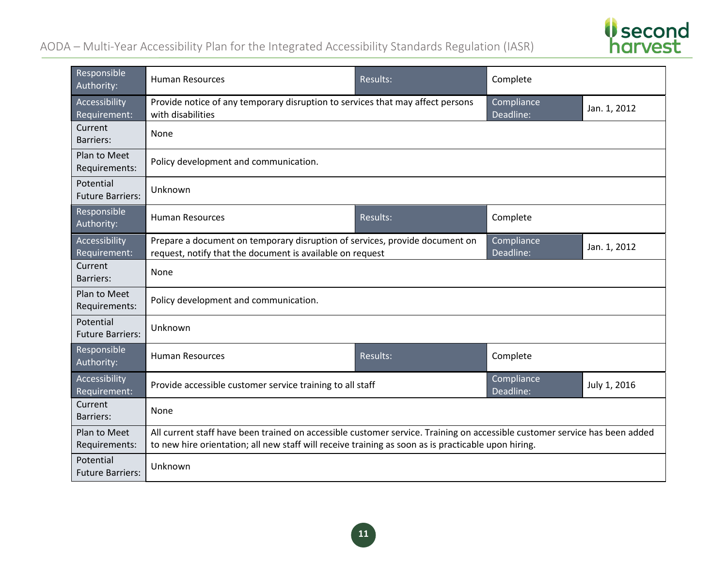

| Responsible<br>Authority:            | <b>Human Resources</b>                                                                                                                                                                                                            | Results: | Complete                |              |
|--------------------------------------|-----------------------------------------------------------------------------------------------------------------------------------------------------------------------------------------------------------------------------------|----------|-------------------------|--------------|
| Accessibility<br>Requirement:        | Provide notice of any temporary disruption to services that may affect persons<br>with disabilities                                                                                                                               |          | Compliance<br>Deadline: | Jan. 1, 2012 |
| Current<br><b>Barriers:</b>          | None                                                                                                                                                                                                                              |          |                         |              |
| Plan to Meet<br>Requirements:        | Policy development and communication.                                                                                                                                                                                             |          |                         |              |
| Potential<br><b>Future Barriers:</b> | Unknown                                                                                                                                                                                                                           |          |                         |              |
| Responsible<br>Authority:            | <b>Human Resources</b>                                                                                                                                                                                                            | Results: | Complete                |              |
| Accessibility<br>Requirement:        | Prepare a document on temporary disruption of services, provide document on<br>request, notify that the document is available on request                                                                                          |          | Compliance<br>Deadline: | Jan. 1, 2012 |
| Current<br><b>Barriers:</b>          | None                                                                                                                                                                                                                              |          |                         |              |
| Plan to Meet<br>Requirements:        | Policy development and communication.                                                                                                                                                                                             |          |                         |              |
| Potential<br><b>Future Barriers:</b> | Unknown                                                                                                                                                                                                                           |          |                         |              |
| Responsible<br>Authority:            | <b>Human Resources</b>                                                                                                                                                                                                            | Results: | Complete                |              |
| Accessibility<br>Requirement:        | Provide accessible customer service training to all staff                                                                                                                                                                         |          | Compliance<br>Deadline: | July 1, 2016 |
| Current<br><b>Barriers:</b>          | None                                                                                                                                                                                                                              |          |                         |              |
| Plan to Meet<br>Requirements:        | All current staff have been trained on accessible customer service. Training on accessible customer service has been added<br>to new hire orientation; all new staff will receive training as soon as is practicable upon hiring. |          |                         |              |
| Potential<br><b>Future Barriers:</b> | Unknown                                                                                                                                                                                                                           |          |                         |              |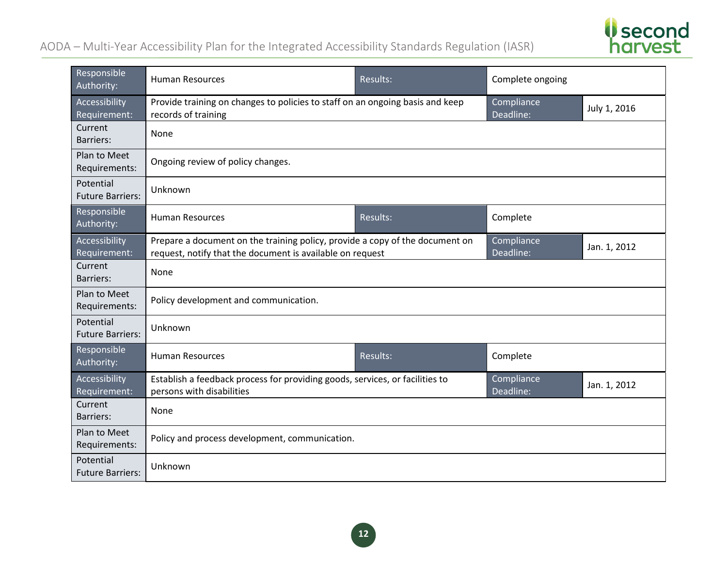

| Responsible<br>Authority:            | <b>Human Resources</b>                                                                                                                    | Results: | Complete ongoing        |              |
|--------------------------------------|-------------------------------------------------------------------------------------------------------------------------------------------|----------|-------------------------|--------------|
| Accessibility<br>Requirement:        | Provide training on changes to policies to staff on an ongoing basis and keep<br>records of training                                      |          | Compliance<br>Deadline: | July 1, 2016 |
| Current<br><b>Barriers:</b>          | None                                                                                                                                      |          |                         |              |
| Plan to Meet<br>Requirements:        | Ongoing review of policy changes.                                                                                                         |          |                         |              |
| Potential<br><b>Future Barriers:</b> | Unknown                                                                                                                                   |          |                         |              |
| Responsible<br>Authority:            | <b>Human Resources</b>                                                                                                                    | Results: | Complete                |              |
| Accessibility<br>Requirement:        | Prepare a document on the training policy, provide a copy of the document on<br>request, notify that the document is available on request |          | Compliance<br>Deadline: | Jan. 1, 2012 |
| Current<br><b>Barriers:</b>          | None                                                                                                                                      |          |                         |              |
| Plan to Meet<br>Requirements:        | Policy development and communication.                                                                                                     |          |                         |              |
| Potential<br><b>Future Barriers:</b> | Unknown                                                                                                                                   |          |                         |              |
| Responsible<br>Authority:            | <b>Human Resources</b>                                                                                                                    | Results: | Complete                |              |
| Accessibility<br>Requirement:        | Establish a feedback process for providing goods, services, or facilities to<br>persons with disabilities                                 |          | Compliance<br>Deadline: | Jan. 1, 2012 |
| Current<br><b>Barriers:</b>          | None                                                                                                                                      |          |                         |              |
| Plan to Meet<br>Requirements:        | Policy and process development, communication.                                                                                            |          |                         |              |
| Potential<br><b>Future Barriers:</b> | Unknown                                                                                                                                   |          |                         |              |